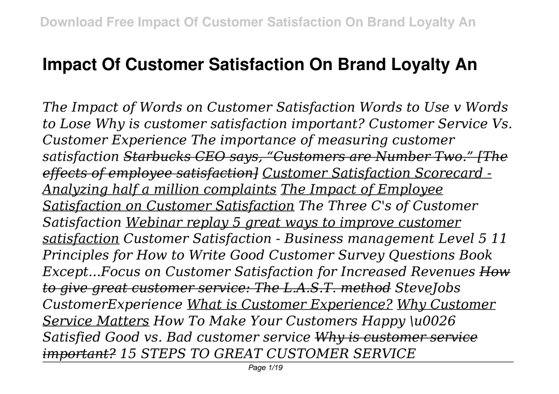## **Impact Of Customer Satisfaction On Brand Loyalty An**

*The Impact of Words on Customer Satisfaction Words to Use v Words to Lose Why is customer satisfaction important? Customer Service Vs. Customer Experience The importance of measuring customer satisfaction Starbucks CEO says, "Customers are Number Two." [The effects of employee satisfaction] Customer Satisfaction Scorecard - Analyzing half a million complaints The Impact of Employee Satisfaction on Customer Satisfaction The Three C's of Customer Satisfaction Webinar replay 5 great ways to improve customer satisfaction Customer Satisfaction - Business management Level 5 11 Principles for How to Write Good Customer Survey Questions Book Except...Focus on Customer Satisfaction for Increased Revenues How to give great customer service: The L.A.S.T. method SteveJobs CustomerExperience What is Customer Experience? Why Customer Service Matters How To Make Your Customers Happy \u0026 Satisfied Good vs. Bad customer service Why is customer service important? 15 STEPS TO GREAT CUSTOMER SERVICE*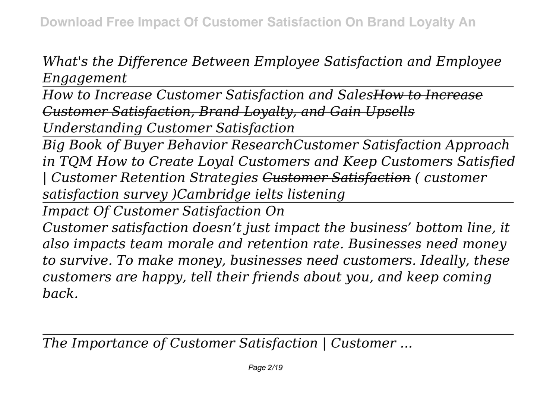*What's the Difference Between Employee Satisfaction and Employee Engagement*

*How to Increase Customer Satisfaction and SalesHow to Increase Customer Satisfaction, Brand Loyalty, and Gain Upsells Understanding Customer Satisfaction*

*Big Book of Buyer Behavior ResearchCustomer Satisfaction Approach in TQM How to Create Loyal Customers and Keep Customers Satisfied | Customer Retention Strategies Customer Satisfaction ( customer satisfaction survey )Cambridge ielts listening*

*Impact Of Customer Satisfaction On*

*Customer satisfaction doesn't just impact the business' bottom line, it also impacts team morale and retention rate. Businesses need money to survive. To make money, businesses need customers. Ideally, these customers are happy, tell their friends about you, and keep coming back.*

*The Importance of Customer Satisfaction | Customer ...*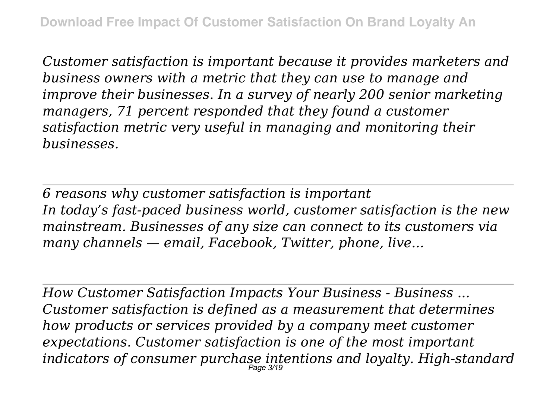*Customer satisfaction is important because it provides marketers and business owners with a metric that they can use to manage and improve their businesses. In a survey of nearly 200 senior marketing managers, 71 percent responded that they found a customer satisfaction metric very useful in managing and monitoring their businesses.*

*6 reasons why customer satisfaction is important In today's fast-paced business world, customer satisfaction is the new mainstream. Businesses of any size can connect to its customers via many channels — email, Facebook, Twitter, phone, live...*

*How Customer Satisfaction Impacts Your Business - Business ... Customer satisfaction is defined as a measurement that determines how products or services provided by a company meet customer expectations. Customer satisfaction is one of the most important indicators of consumer purchase intentions and loyalty. High-standard* Page 3/19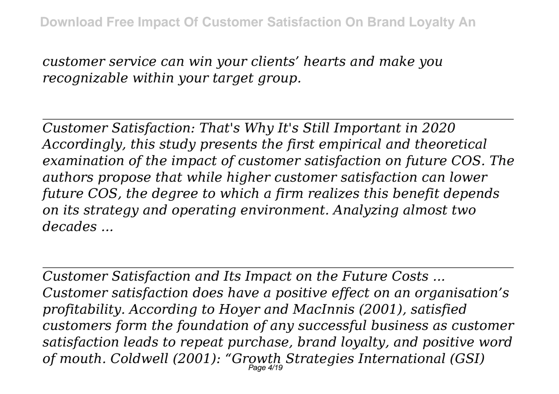*customer service can win your clients' hearts and make you recognizable within your target group.*

*Customer Satisfaction: That's Why It's Still Important in 2020 Accordingly, this study presents the first empirical and theoretical examination of the impact of customer satisfaction on future COS. The authors propose that while higher customer satisfaction can lower future COS, the degree to which a firm realizes this benefit depends on its strategy and operating environment. Analyzing almost two decades ...*

*Customer Satisfaction and Its Impact on the Future Costs ... Customer satisfaction does have a positive effect on an organisation's profitability. According to Hoyer and MacInnis (2001), satisfied customers form the foundation of any successful business as customer satisfaction leads to repeat purchase, brand loyalty, and positive word of mouth. Coldwell (2001): "Growth Strategies International (GSI)* Page 4/19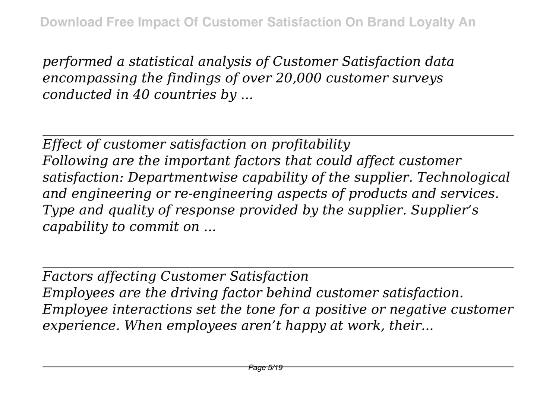*performed a statistical analysis of Customer Satisfaction data encompassing the findings of over 20,000 customer surveys conducted in 40 countries by ...*

*Effect of customer satisfaction on profitability Following are the important factors that could affect customer satisfaction: Departmentwise capability of the supplier. Technological and engineering or re-engineering aspects of products and services. Type and quality of response provided by the supplier. Supplier's capability to commit on ...*

*Factors affecting Customer Satisfaction Employees are the driving factor behind customer satisfaction. Employee interactions set the tone for a positive or negative customer experience. When employees aren't happy at work, their...*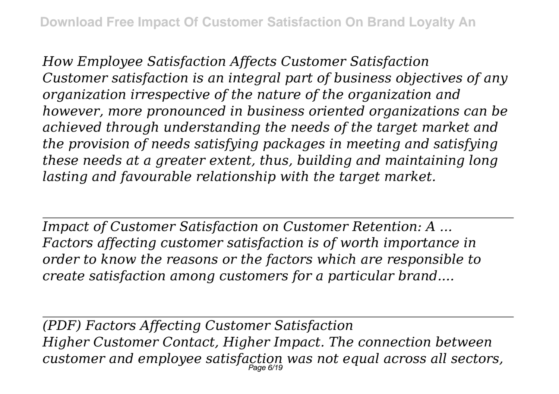*How Employee Satisfaction Affects Customer Satisfaction Customer satisfaction is an integral part of business objectives of any organization irrespective of the nature of the organization and however, more pronounced in business oriented organizations can be achieved through understanding the needs of the target market and the provision of needs satisfying packages in meeting and satisfying these needs at a greater extent, thus, building and maintaining long lasting and favourable relationship with the target market.*

*Impact of Customer Satisfaction on Customer Retention: A ... Factors affecting customer satisfaction is of worth importance in order to know the reasons or the factors which are responsible to create satisfaction among customers for a particular brand....*

*(PDF) Factors Affecting Customer Satisfaction Higher Customer Contact, Higher Impact. The connection between customer and employee satisfaction was not equal across all sectors,* Page 6/19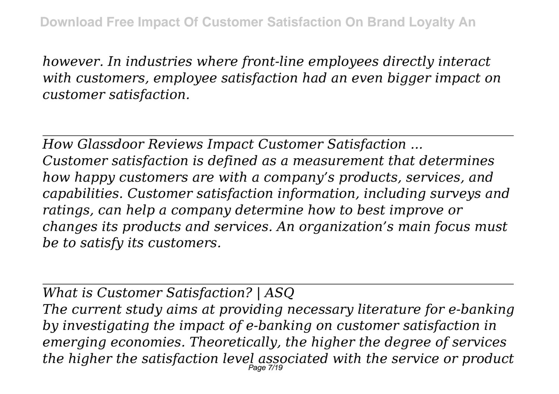*however. In industries where front-line employees directly interact with customers, employee satisfaction had an even bigger impact on customer satisfaction.*

*How Glassdoor Reviews Impact Customer Satisfaction ... Customer satisfaction is defined as a measurement that determines how happy customers are with a company's products, services, and capabilities. Customer satisfaction information, including surveys and ratings, can help a company determine how to best improve or changes its products and services. An organization's main focus must be to satisfy its customers.*

*What is Customer Satisfaction? | ASQ The current study aims at providing necessary literature for e-banking by investigating the impact of e-banking on customer satisfaction in emerging economies. Theoretically, the higher the degree of services the higher the satisfaction level associated with the service or product* Page 7/19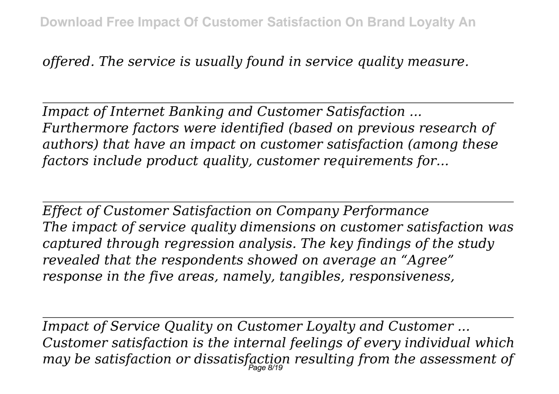*offered. The service is usually found in service quality measure.*

*Impact of Internet Banking and Customer Satisfaction ... Furthermore factors were identified (based on previous research of authors) that have an impact on customer satisfaction (among these factors include product quality, customer requirements for...*

*Effect of Customer Satisfaction on Company Performance The impact of service quality dimensions on customer satisfaction was captured through regression analysis. The key findings of the study revealed that the respondents showed on average an "Agree" response in the five areas, namely, tangibles, responsiveness,*

*Impact of Service Quality on Customer Loyalty and Customer ... Customer satisfaction is the internal feelings of every individual which may be satisfaction or dissatisfaction resulting from the assessment of* Page 8/19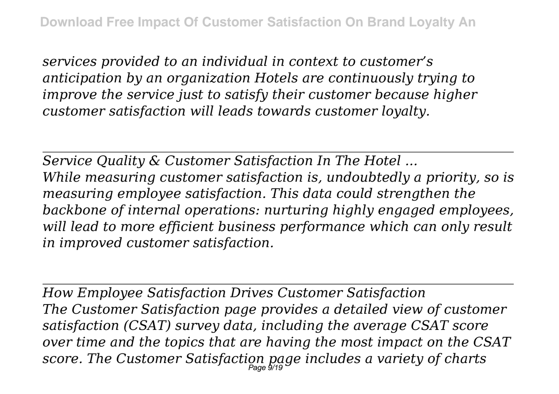*services provided to an individual in context to customer's anticipation by an organization Hotels are continuously trying to improve the service just to satisfy their customer because higher customer satisfaction will leads towards customer loyalty.*

*Service Quality & Customer Satisfaction In The Hotel ... While measuring customer satisfaction is, undoubtedly a priority, so is measuring employee satisfaction. This data could strengthen the backbone of internal operations: nurturing highly engaged employees, will lead to more efficient business performance which can only result in improved customer satisfaction.*

*How Employee Satisfaction Drives Customer Satisfaction The Customer Satisfaction page provides a detailed view of customer satisfaction (CSAT) survey data, including the average CSAT score over time and the topics that are having the most impact on the CSAT score. The Customer Satisfaction page includes a variety of charts* Page 9/19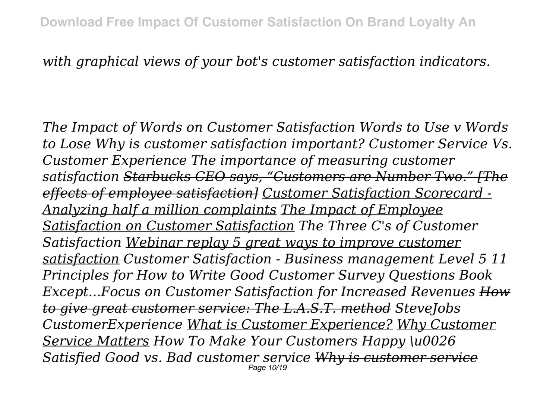## *with graphical views of your bot's customer satisfaction indicators.*

*The Impact of Words on Customer Satisfaction Words to Use v Words to Lose Why is customer satisfaction important? Customer Service Vs. Customer Experience The importance of measuring customer satisfaction Starbucks CEO says, "Customers are Number Two." [The effects of employee satisfaction] Customer Satisfaction Scorecard - Analyzing half a million complaints The Impact of Employee Satisfaction on Customer Satisfaction The Three C's of Customer Satisfaction Webinar replay 5 great ways to improve customer satisfaction Customer Satisfaction - Business management Level 5 11 Principles for How to Write Good Customer Survey Questions Book Except...Focus on Customer Satisfaction for Increased Revenues How to give great customer service: The L.A.S.T. method SteveJobs CustomerExperience What is Customer Experience? Why Customer Service Matters How To Make Your Customers Happy \u0026 Satisfied Good vs. Bad customer service Why is customer service* Page 10/19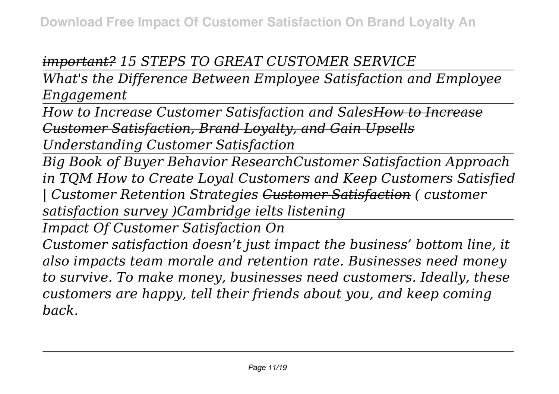## *important? 15 STEPS TO GREAT CUSTOMER SERVICE*

*What's the Difference Between Employee Satisfaction and Employee Engagement*

*How to Increase Customer Satisfaction and SalesHow to Increase Customer Satisfaction, Brand Loyalty, and Gain Upsells Understanding Customer Satisfaction*

*Big Book of Buyer Behavior ResearchCustomer Satisfaction Approach in TQM How to Create Loyal Customers and Keep Customers Satisfied | Customer Retention Strategies Customer Satisfaction ( customer satisfaction survey )Cambridge ielts listening*

*Impact Of Customer Satisfaction On*

*Customer satisfaction doesn't just impact the business' bottom line, it also impacts team morale and retention rate. Businesses need money to survive. To make money, businesses need customers. Ideally, these customers are happy, tell their friends about you, and keep coming back.*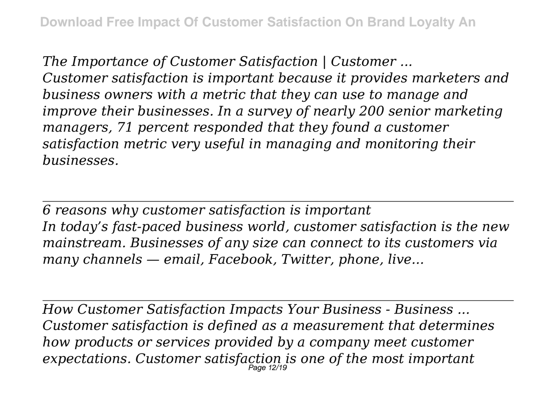*The Importance of Customer Satisfaction | Customer ... Customer satisfaction is important because it provides marketers and business owners with a metric that they can use to manage and improve their businesses. In a survey of nearly 200 senior marketing managers, 71 percent responded that they found a customer satisfaction metric very useful in managing and monitoring their businesses.*

*6 reasons why customer satisfaction is important In today's fast-paced business world, customer satisfaction is the new mainstream. Businesses of any size can connect to its customers via many channels — email, Facebook, Twitter, phone, live...*

*How Customer Satisfaction Impacts Your Business - Business ... Customer satisfaction is defined as a measurement that determines how products or services provided by a company meet customer expectations. Customer satisfaction is one of the most important* Page 12/19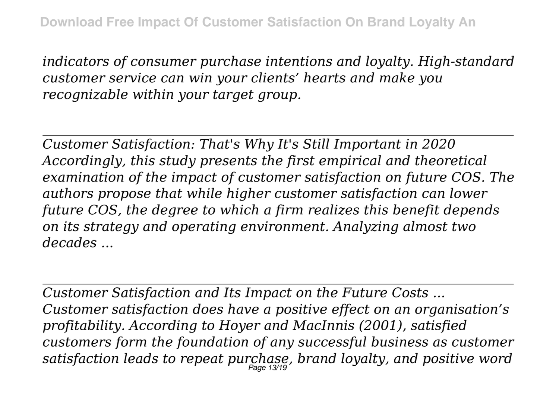*indicators of consumer purchase intentions and loyalty. High-standard customer service can win your clients' hearts and make you recognizable within your target group.*

*Customer Satisfaction: That's Why It's Still Important in 2020 Accordingly, this study presents the first empirical and theoretical examination of the impact of customer satisfaction on future COS. The authors propose that while higher customer satisfaction can lower future COS, the degree to which a firm realizes this benefit depends on its strategy and operating environment. Analyzing almost two decades ...*

*Customer Satisfaction and Its Impact on the Future Costs ... Customer satisfaction does have a positive effect on an organisation's profitability. According to Hoyer and MacInnis (2001), satisfied customers form the foundation of any successful business as customer satisfaction leads to repeat purchase, brand loyalty, and positive word* Page 13/19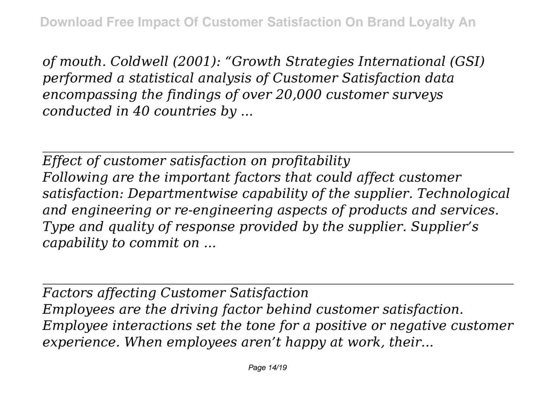*of mouth. Coldwell (2001): "Growth Strategies International (GSI) performed a statistical analysis of Customer Satisfaction data encompassing the findings of over 20,000 customer surveys conducted in 40 countries by ...*

*Effect of customer satisfaction on profitability Following are the important factors that could affect customer satisfaction: Departmentwise capability of the supplier. Technological and engineering or re-engineering aspects of products and services. Type and quality of response provided by the supplier. Supplier's capability to commit on ...*

*Factors affecting Customer Satisfaction Employees are the driving factor behind customer satisfaction. Employee interactions set the tone for a positive or negative customer experience. When employees aren't happy at work, their...*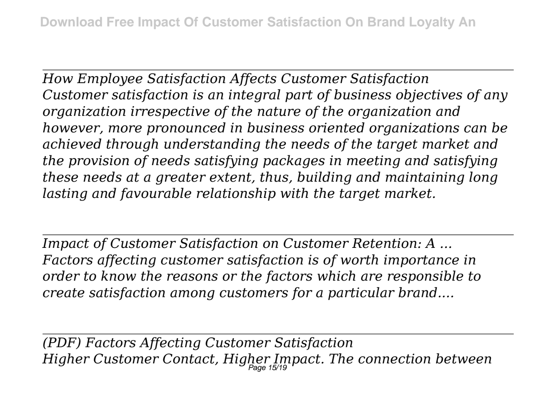*How Employee Satisfaction Affects Customer Satisfaction Customer satisfaction is an integral part of business objectives of any organization irrespective of the nature of the organization and however, more pronounced in business oriented organizations can be achieved through understanding the needs of the target market and the provision of needs satisfying packages in meeting and satisfying these needs at a greater extent, thus, building and maintaining long lasting and favourable relationship with the target market.*

*Impact of Customer Satisfaction on Customer Retention: A ... Factors affecting customer satisfaction is of worth importance in order to know the reasons or the factors which are responsible to create satisfaction among customers for a particular brand....*

*(PDF) Factors Affecting Customer Satisfaction Higher Customer Contact, Higher Impact. The connection between* Page 15/19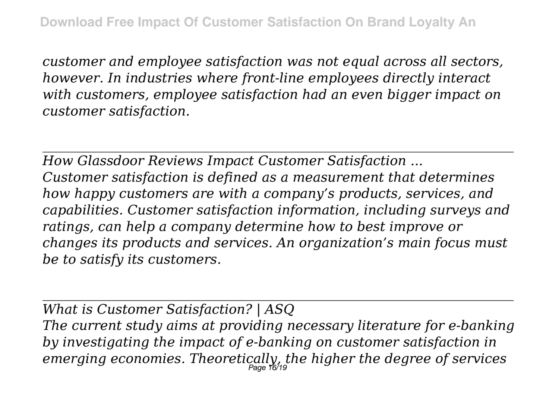*customer and employee satisfaction was not equal across all sectors, however. In industries where front-line employees directly interact with customers, employee satisfaction had an even bigger impact on customer satisfaction.*

*How Glassdoor Reviews Impact Customer Satisfaction ... Customer satisfaction is defined as a measurement that determines how happy customers are with a company's products, services, and capabilities. Customer satisfaction information, including surveys and ratings, can help a company determine how to best improve or changes its products and services. An organization's main focus must be to satisfy its customers.*

*What is Customer Satisfaction? | ASQ The current study aims at providing necessary literature for e-banking by investigating the impact of e-banking on customer satisfaction in emerging economies. Theoretically, the higher the degree of services* Page 16/19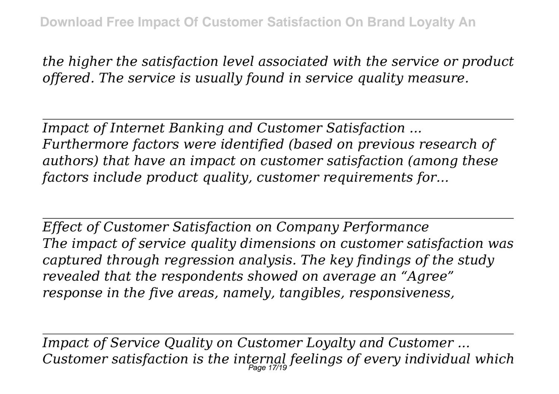*the higher the satisfaction level associated with the service or product offered. The service is usually found in service quality measure.*

*Impact of Internet Banking and Customer Satisfaction ... Furthermore factors were identified (based on previous research of authors) that have an impact on customer satisfaction (among these factors include product quality, customer requirements for...*

*Effect of Customer Satisfaction on Company Performance The impact of service quality dimensions on customer satisfaction was captured through regression analysis. The key findings of the study revealed that the respondents showed on average an "Agree" response in the five areas, namely, tangibles, responsiveness,*

*Impact of Service Quality on Customer Loyalty and Customer ... Customer satisfaction is the internal feelings of every individual which* Page 17/19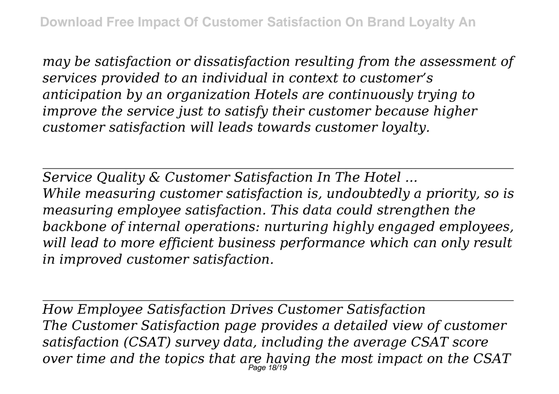*may be satisfaction or dissatisfaction resulting from the assessment of services provided to an individual in context to customer's anticipation by an organization Hotels are continuously trying to improve the service just to satisfy their customer because higher customer satisfaction will leads towards customer loyalty.*

*Service Quality & Customer Satisfaction In The Hotel ... While measuring customer satisfaction is, undoubtedly a priority, so is measuring employee satisfaction. This data could strengthen the backbone of internal operations: nurturing highly engaged employees, will lead to more efficient business performance which can only result in improved customer satisfaction.*

*How Employee Satisfaction Drives Customer Satisfaction The Customer Satisfaction page provides a detailed view of customer satisfaction (CSAT) survey data, including the average CSAT score over time and the topics that are having the most impact on the CSAT* Page 18/19